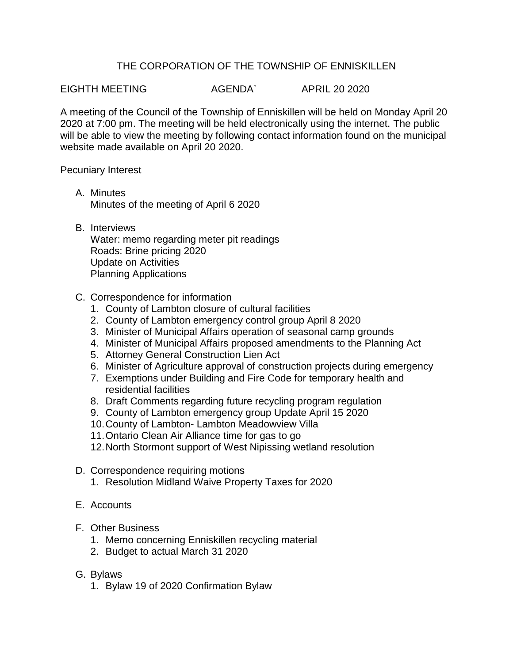## THE CORPORATION OF THE TOWNSHIP OF ENNISKILLEN

EIGHTH MEETING AGENDA` APRIL 20 2020

A meeting of the Council of the Township of Enniskillen will be held on Monday April 20 2020 at 7:00 pm. The meeting will be held electronically using the internet. The public will be able to view the meeting by following contact information found on the municipal website made available on April 20 2020.

Pecuniary Interest

- A. Minutes Minutes of the meeting of April 6 2020
- B. Interviews

Water: memo regarding meter pit readings Roads: Brine pricing 2020 Update on Activities Planning Applications

- C. Correspondence for information
	- 1. County of Lambton closure of cultural facilities
	- 2. County of Lambton emergency control group April 8 2020
	- 3. Minister of Municipal Affairs operation of seasonal camp grounds
	- 4. Minister of Municipal Affairs proposed amendments to the Planning Act
	- 5. Attorney General Construction Lien Act
	- 6. Minister of Agriculture approval of construction projects during emergency
	- 7. Exemptions under Building and Fire Code for temporary health and residential facilities
	- 8. Draft Comments regarding future recycling program regulation
	- 9. County of Lambton emergency group Update April 15 2020
	- 10.County of Lambton- Lambton Meadowview Villa
	- 11.Ontario Clean Air Alliance time for gas to go
	- 12.North Stormont support of West Nipissing wetland resolution
- D. Correspondence requiring motions
	- 1. Resolution Midland Waive Property Taxes for 2020
- E. Accounts
- F. Other Business
	- 1. Memo concerning Enniskillen recycling material
	- 2. Budget to actual March 31 2020
- G. Bylaws
	- 1. Bylaw 19 of 2020 Confirmation Bylaw